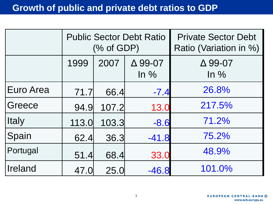|                  | <b>Public Sector Debt Ratio</b><br>$(\%$ of GDP) |       |                          | <b>Private Sector Debt</b><br>Ratio (Variation in %) |  |  |  |
|------------------|--------------------------------------------------|-------|--------------------------|------------------------------------------------------|--|--|--|
|                  | 1999                                             | 2007  | $\Delta$ 99-07<br>$ln\%$ | $\Delta$ 99-07<br>$\ln \frac{9}{6}$                  |  |  |  |
| <b>Euro Area</b> | 71.7                                             | 66.4  | $-7.4$                   | 26.8%                                                |  |  |  |
| Greece           | 94.9                                             | 107.2 | 13.0                     | 217.5%                                               |  |  |  |
| <b>Italy</b>     | 113.0                                            | 103.3 | $-8.6$                   | 71.2%                                                |  |  |  |
| Spain            | 62.4                                             | 36.3  | $-41.8$                  | 75.2%                                                |  |  |  |
| Portugal         | 51.4                                             | 68.4  | 33.0                     | 48.9%                                                |  |  |  |
| Ireland          | 47.0                                             | 25.0  | $-46.8$                  | 101.0%                                               |  |  |  |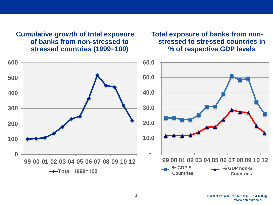**Cumulative growth of total exposure of banks from non-stressed to stressed countries (1999=100)**

**Total exposure of banks from nonstressed to stressed countries in % of respective GDP levels** 

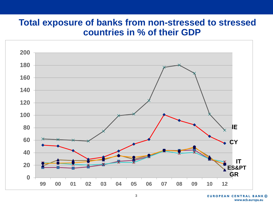#### **Total exposure of banks from non-stressed to stressed countries in % of their GDP**

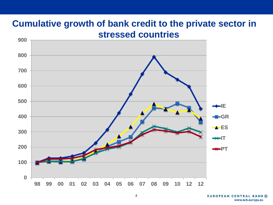## **Cumulative growth of bank credit to the private sector in stressed countries**

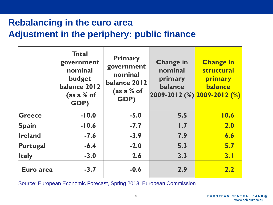# **Adjustment in the periphery: public finance Rebalancing in the euro area**

|                | <b>Total</b><br>government<br>nominal<br>budget<br>balance 2012<br>(as a $%$ of<br>GDP) | <b>Primary</b><br>government<br>nominal<br>balance 2012<br>(as a % of<br>GDP) | <b>Change in</b><br>nominal<br>primary<br>balance | <b>Change in</b><br>structural<br>primary<br><b>balance</b><br>$ 2009-2012 \, (%)  2009-2012 \, (%)$ |
|----------------|-----------------------------------------------------------------------------------------|-------------------------------------------------------------------------------|---------------------------------------------------|------------------------------------------------------------------------------------------------------|
| Greece         | $-10.0$                                                                                 | $-5.0$                                                                        | 5.5                                               | 10.6                                                                                                 |
| <b>Spain</b>   | $-10.6$                                                                                 | $-7.7$                                                                        | 1.7                                               | 2.0                                                                                                  |
| <b>Ireland</b> | $-7.6$                                                                                  | $-3.9$                                                                        | 7.9                                               | 6.6                                                                                                  |
| Portugal       | $-6.4$                                                                                  | $-2.0$                                                                        | 5.3                                               | 5.7                                                                                                  |
| <b>Italy</b>   | $-3.0$                                                                                  | 2.6                                                                           | 3.3                                               | 3.1                                                                                                  |
| Euro area      | $-3.7$                                                                                  | $-0.6$                                                                        | 2.9                                               | 2.2                                                                                                  |

Source: European Economic Forecast, Spring 2013, European Commission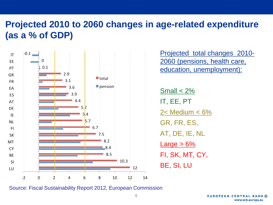# **Projected 2010 to 2060 changes in age-related expenditure (as a % of GDP)**



Projected total changes 2010- 2060 (pensions, health care, education, unemployment):

 $Small < 2\%$ IT, EE, PT 2< Medium < 6% GR, FR, ES, AT, DE, IE, NL  $Large > 6%$ FI, SK, MT, CY, BE, SI, LU

Source: Fiscal Sustainability Report 2012, European Commission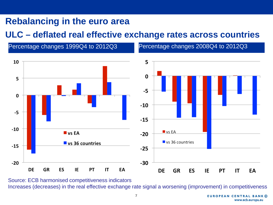# **Rebalancing in the euro area**

#### **ULC – deflated real effective exchange rates across countries**

Percentage changes 1999Q4 to 2012Q3 Percentage changes 2008Q4 to 2012Q3



Source: ECB harmonised competitiveness indicators Increases (decreases) in the real effective exchange rate signal a worsening (improvement) in competitiveness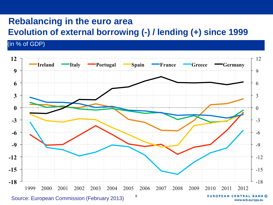## **Rebalancing in the euro area**

### **Evolution of external borrowing (-) / lending (+) since 1999**

(in % of GDP)



www.ecb.europa.eu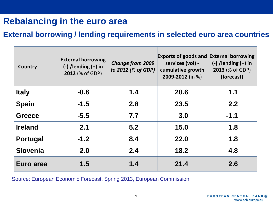## **Rebalancing in the euro area**

#### **External borrowing / lending requirements in selected euro area countries**

| <b>Country</b>  | <b>External borrowing</b><br>$(-)$ /lending $(+)$ in<br>2012 (% of GDP) | <b>Change from 2009</b><br>to 2012 (% of GDP) | <b>Exports of goods and</b><br>services (vol) -<br>cumulative growth<br>2009-2012 (in %) | <b>External borrowing</b><br>$(-)$ /lending $(+)$ in<br>2013 (% of GDP)<br>(forecast) |
|-----------------|-------------------------------------------------------------------------|-----------------------------------------------|------------------------------------------------------------------------------------------|---------------------------------------------------------------------------------------|
| <b>Italy</b>    | $-0.6$                                                                  | 1.4                                           | 20.6                                                                                     | 1.1                                                                                   |
| <b>Spain</b>    | $-1.5$                                                                  | 2.8                                           | 23.5                                                                                     | 2.2                                                                                   |
| <b>Greece</b>   | $-5.5$                                                                  | 7.7                                           | 3.0                                                                                      | $-1.1$                                                                                |
| <b>Ireland</b>  | 2.1                                                                     | 5.2                                           | 15.0                                                                                     | 1.8                                                                                   |
| <b>Portugal</b> | $-1.2$                                                                  | 8.4                                           | 22.0                                                                                     | 1.8                                                                                   |
| <b>Slovenia</b> | 2.0                                                                     | 2.4                                           | 18.2                                                                                     | 4.8                                                                                   |
| Euro area       | 1.5                                                                     | 1.4                                           | 21.4                                                                                     | 2.6                                                                                   |

Source: European Economic Forecast, Spring 2013, European Commission